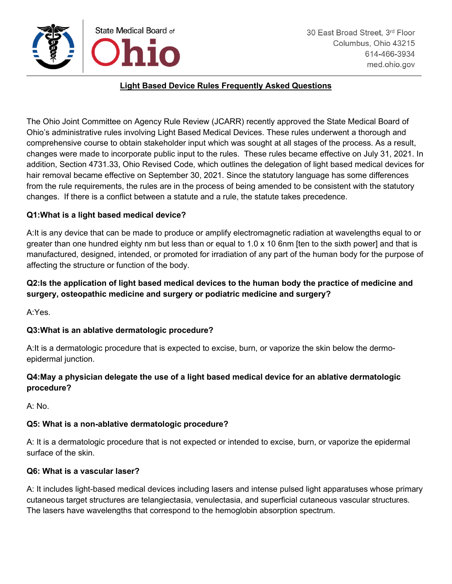

### **Light Based Device Rules Frequently Asked Questions**

The Ohio Joint Committee on Agency Rule Review (JCARR) recently approved the State Medical Board of Ohio's administrative rules involving Light Based Medical Devices. These rules underwent a thorough and comprehensive course to obtain stakeholder input which was sought at all stages of the process. As a result, changes were made to incorporate public input to the rules. These rules became effective on July 31, 2021. In addition, Section 4731.33, Ohio Revised Code, which outlines the delegation of light based medical devices for hair removal became effective on September 30, 2021. Since the statutory language has some differences from the rule requirements, the rules are in the process of being amended to be consistent with the statutory changes. If there is a conflict between a statute and a rule, the statute takes precedence.

#### **Q1:What is a light based medical device?**

A:It is any device that can be made to produce or amplify electromagnetic radiation at wavelengths equal to or greater than one hundred eighty nm but less than or equal to 1.0 x 10 6nm [ten to the sixth power] and that is manufactured, designed, intended, or promoted for irradiation of any part of the human body for the purpose of affecting the structure or function of the body.

# **Q2:Is the application of light based medical devices to the human body the practice of medicine and surgery, osteopathic medicine and surgery or podiatric medicine and surgery?**

A:Yes.

## **Q3:What is an ablative dermatologic procedure?**

A:It is a dermatologic procedure that is expected to excise, burn, or vaporize the skin below the dermoepidermal junction.

## **Q4:May a physician delegate the use of a light based medical device for an ablative dermatologic procedure?**

A: No.

#### **Q5: What is a non-ablative dermatologic procedure?**

A: It is a dermatologic procedure that is not expected or intended to excise, burn, or vaporize the epidermal surface of the skin.

#### **Q6: What is a vascular laser?**

A: It includes light-based medical devices including lasers and intense pulsed light apparatuses whose primary cutaneous target structures are telangiectasia, venulectasia, and superficial cutaneous vascular structures. The lasers have wavelengths that correspond to the hemoglobin absorption spectrum.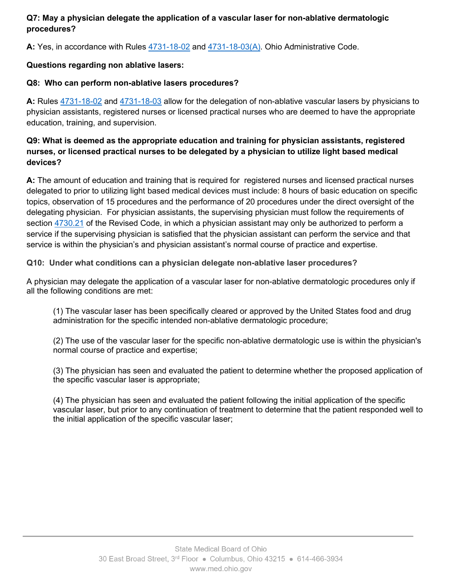# **Q7: May a physician delegate the application of a vascular laser for non-ablative dermatologic procedures?**

**A:** Yes, in accordance with Rules [4731-18-02](https://codes.ohio.gov/ohio-administrative-code/rule-4731-18-02) and [4731-18-03\(A\).](https://codes.ohio.gov/ohio-administrative-code/rule-4731-18-03) Ohio Administrative Code.

# **Questions regarding non ablative lasers:**

## **Q8: Who can perform non-ablative lasers procedures?**

**A:** Rules [4731-18-02](https://codes.ohio.gov/ohio-administrative-code/rule-4731-18-02) and [4731-18-03](https://codes.ohio.gov/ohio-administrative-code/rule-4731-18-03) allow for the delegation of non-ablative vascular lasers by physicians to physician assistants, registered nurses or licensed practical nurses who are deemed to have the appropriate education, training, and supervision.

# **Q9: What is deemed as the appropriate education and training for physician assistants, registered nurses, or licensed practical nurses to be delegated by a physician to utilize light based medical devices?**

**A:** The amount of education and training that is required for registered nurses and licensed practical nurses delegated to prior to utilizing light based medical devices must include: 8 hours of basic education on specific topics, observation of 15 procedures and the performance of 20 procedures under the direct oversight of the delegating physician. For physician assistants, the supervising physician must follow the requirements of section [4730.21](https://codes.ohio.gov/ohio-revised-code/section-4730.21#:%7E:text=(A)%20The%20supervising%20physician%20of,direction%20of%20the%20physician%20assistant.) of the Revised Code, in which a physician assistant may only be authorized to perform a service if the supervising physician is satisfied that the physician assistant can perform the service and that service is within the physician's and physician assistant's normal course of practice and expertise.

## **Q10: Under what conditions can a physician delegate non-ablative laser procedures?**

A physician may delegate the application of a vascular laser for non-ablative dermatologic procedures only if all the following conditions are met:

(1) The vascular laser has been specifically cleared or approved by the United States food and drug administration for the specific intended non-ablative dermatologic procedure;

(2) The use of the vascular laser for the specific non-ablative dermatologic use is within the physician's normal course of practice and expertise;

(3) The physician has seen and evaluated the patient to determine whether the proposed application of the specific vascular laser is appropriate;

(4) The physician has seen and evaluated the patient following the initial application of the specific vascular laser, but prior to any continuation of treatment to determine that the patient responded well to the initial application of the specific vascular laser;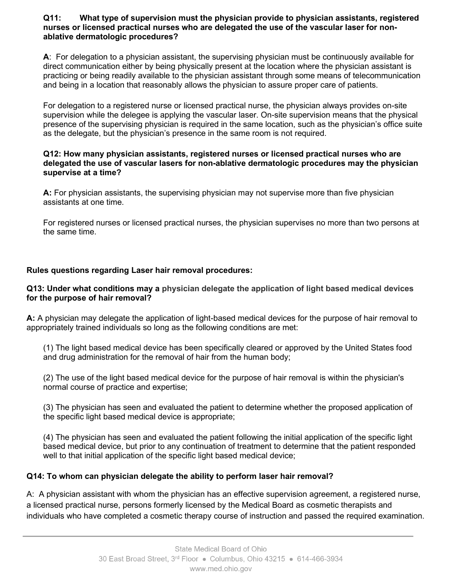#### **Q11: What type of supervision must the physician provide to physician assistants, registered nurses or licensed practical nurses who are delegated the use of the vascular laser for nonablative dermatologic procedures?**

**A**: For delegation to a physician assistant, the supervising physician must be continuously available for direct communication either by being physically present at the location where the physician assistant is practicing or being readily available to the physician assistant through some means of telecommunication and being in a location that reasonably allows the physician to assure proper care of patients.

For delegation to a registered nurse or licensed practical nurse, the physician always provides on-site supervision while the delegee is applying the vascular laser. On-site supervision means that the physical presence of the supervising physician is required in the same location, such as the physician's office suite as the delegate, but the physician's presence in the same room is not required.

#### **Q12: How many physician assistants, registered nurses or licensed practical nurses who are delegated the use of vascular lasers for non-ablative dermatologic procedures may the physician supervise at a time?**

**A:** For physician assistants, the supervising physician may not supervise more than five physician assistants at one time.

For registered nurses or licensed practical nurses, the physician supervises no more than two persons at the same time.

## **Rules questions regarding Laser hair removal procedures:**

#### **Q13: Under what conditions may a physician delegate the application of light based medical devices for the purpose of hair removal?**

**A:** A physician may delegate the application of light-based medical devices for the purpose of hair removal to appropriately trained individuals so long as the following conditions are met:

(1) The light based medical device has been specifically cleared or approved by the United States food and drug administration for the removal of hair from the human body;

(2) The use of the light based medical device for the purpose of hair removal is within the physician's normal course of practice and expertise;

(3) The physician has seen and evaluated the patient to determine whether the proposed application of the specific light based medical device is appropriate;

(4) The physician has seen and evaluated the patient following the initial application of the specific light based medical device, but prior to any continuation of treatment to determine that the patient responded well to that initial application of the specific light based medical device;

## **Q14: To whom can physician delegate the ability to perform laser hair removal?**

A: A physician assistant with whom the physician has an effective supervision agreement, a registered nurse, a licensed practical nurse, persons formerly licensed by the Medical Board as cosmetic therapists and individuals who have completed a cosmetic therapy course of instruction and passed the required examination.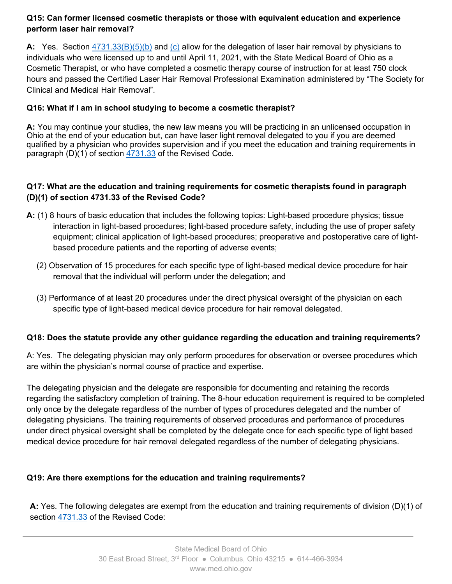# **Q15: Can former licensed cosmetic therapists or those with equivalent education and experience perform laser hair removal?**

**A:** Yes. Section [4731.33\(B\)\(5\)\(b\)](https://codes.ohio.gov/ohio-revised-code/section-4731.33) and [\(c\)](https://codes.ohio.gov/ohio-revised-code/section-4731.33) allow for the delegation of laser hair removal by physicians to individuals who were licensed up to and until April 11, 2021, with the State Medical Board of Ohio as a Cosmetic Therapist, or who have completed a cosmetic therapy course of instruction for at least 750 clock hours and passed the Certified Laser Hair Removal Professional Examination administered by "The Society for Clinical and Medical Hair Removal".

# **Q16: What if I am in school studying to become a cosmetic therapist?**

**A:** You may continue your studies, the new law means you will be practicing in an unlicensed occupation in Ohio at the end of your education but, can have laser light removal delegated to you if you are deemed qualified by a physician who provides supervision and if you meet the education and training requirements in paragraph  $(D)(1)$  of section  $\frac{4731.33}{2}$  of the Revised Code.

# **Q17: What are the education and training requirements for cosmetic therapists found in paragraph (D)(1) of section 4731.33 of the Revised Code?**

- **A:** (1) 8 hours of basic education that includes the following topics: Light-based procedure physics; tissue interaction in light-based procedures; light-based procedure safety, including the use of proper safety equipment; clinical application of light-based procedures; preoperative and postoperative care of lightbased procedure patients and the reporting of adverse events;
	- (2) Observation of 15 procedures for each specific type of light-based medical device procedure for hair removal that the individual will perform under the delegation; and
	- (3) Performance of at least 20 procedures under the direct physical oversight of the physician on each specific type of light-based medical device procedure for hair removal delegated.

## **Q18: Does the statute provide any other guidance regarding the education and training requirements?**

A: Yes. The delegating physician may only perform procedures for observation or oversee procedures which are within the physician's normal course of practice and expertise.

The delegating physician and the delegate are responsible for documenting and retaining the records regarding the satisfactory completion of training. The 8-hour education requirement is required to be completed only once by the delegate regardless of the number of types of procedures delegated and the number of delegating physicians. The training requirements of observed procedures and performance of procedures under direct physical oversight shall be completed by the delegate once for each specific type of light based medical device procedure for hair removal delegated regardless of the number of delegating physicians.

## **Q19: Are there exemptions for the education and training requirements?**

**A:** Yes. The following delegates are exempt from the education and training requirements of division (D)(1) of section [4731.33](https://codes.ohio.gov/ohio-revised-code/section-4731.33) of the Revised Code: